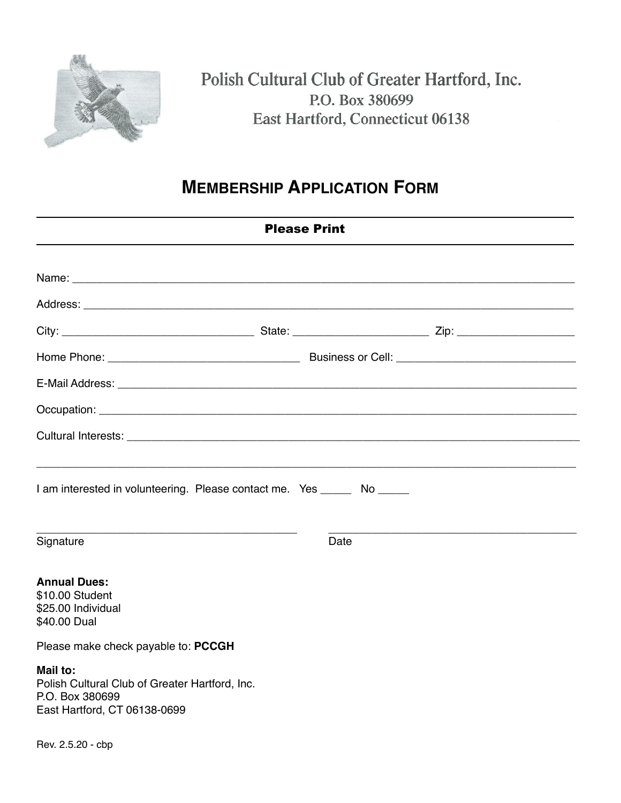

## Polish Cultural Club of Greater Hartford, Inc. P.O. Box 380699 East Hartford, Connecticut 06138

## **MEMBERSHIP APPLICATION FORM**

| <b>Please Print</b>                                                                                           |  |      |  |  |
|---------------------------------------------------------------------------------------------------------------|--|------|--|--|
|                                                                                                               |  |      |  |  |
|                                                                                                               |  |      |  |  |
|                                                                                                               |  |      |  |  |
|                                                                                                               |  |      |  |  |
|                                                                                                               |  |      |  |  |
|                                                                                                               |  |      |  |  |
|                                                                                                               |  |      |  |  |
| I am interested in volunteering. Please contact me. Yes ______ No _____<br>Signature                          |  | Date |  |  |
| <b>Annual Dues:</b><br>\$10.00 Student<br>\$25.00 Individual<br>\$40.00 Dual                                  |  |      |  |  |
| Please make check payable to: PCCGH                                                                           |  |      |  |  |
| Mail to:<br>Polish Cultural Club of Greater Hartford, Inc.<br>P.O. Box 380699<br>East Hartford, CT 06138-0699 |  |      |  |  |
| Rev. 2.5.20 - cbp                                                                                             |  |      |  |  |